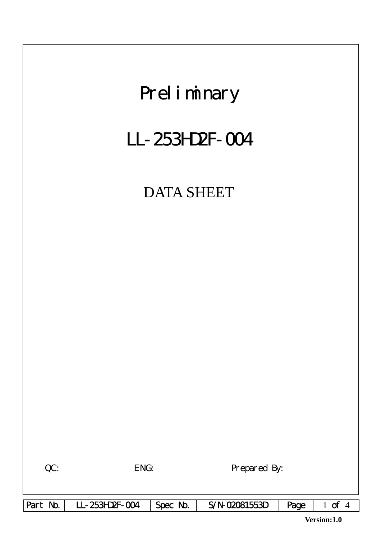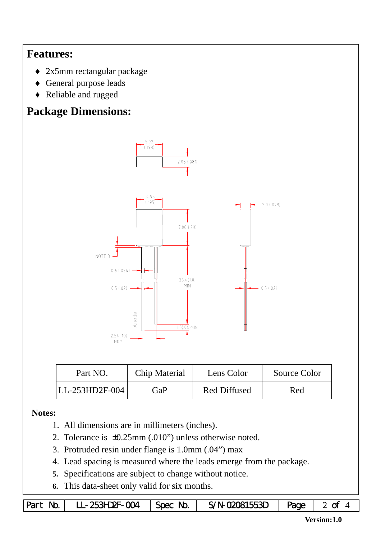## **Features:**

- ♦ 2x5mm rectangular package
- ♦ General purpose leads
- ♦ Reliable and rugged

# **Package Dimensions:**



| Part NO.       | Chip Material | Lens Color          | Source Color |
|----------------|---------------|---------------------|--------------|
| LL-253HD2F-004 | GaP           | <b>Red Diffused</b> | Red          |

#### **Notes:**

- 1. All dimensions are in millimeters (inches).
- 2. Tolerance is ±0.25mm (.010") unless otherwise noted.
- 3. Protruded resin under flange is 1.0mm (.04") max
- 4. Lead spacing is measured where the leads emerge from the package.
- **5.** Specifications are subject to change without notice.
- **6.** This data-sheet only valid for six months.

| Part No.   LL-253HD2F-004   Spec No.   S/N-02081553D   Page   2 of |  |  |  |  |
|--------------------------------------------------------------------|--|--|--|--|
|--------------------------------------------------------------------|--|--|--|--|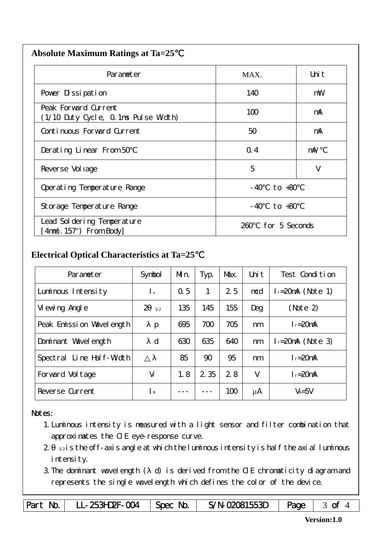| <b>Absolute Maximum Ratings at Ta=25</b> |  |
|------------------------------------------|--|
|                                          |  |

| Parameter                                                    | MAX.                  | Uni t  |  |  |
|--------------------------------------------------------------|-----------------------|--------|--|--|
| Pover Dissipation                                            | 140                   | mW     |  |  |
| Peak Forward Current<br>(1/10 Duty Cycle, 0.1ms Pulse Width) | 100                   | mA     |  |  |
| Continuous Forward Current                                   | 50                    | mA     |  |  |
| Derating Linear From 50                                      | $Q_{4}$               | mA/    |  |  |
| Reverse Vol tage                                             | 5                     | V      |  |  |
| Operating Temperature Range                                  | - 40                  | to +80 |  |  |
| Storage Temperature Range                                    | $-40$ to $+80$        |        |  |  |
| Lead Sol dering Temperature<br>$4mm(.157")$ From Body        | for 5 Seconds<br>260. |        |  |  |

### **Electrical Optical Characteristics at Ta=25**℃

| Parameter                   | Symbol                             | Mn. | Typ.  | Max. | Uni t | Test Condition         |
|-----------------------------|------------------------------------|-----|-------|------|-------|------------------------|
| Luminous Intensity          | $\mathsf{I}$ v                     | 0.5 | 1     | 25   | mcd   | $l_f = 20$ mA (Note 1) |
| Vi ewing Angl e             | $\mathcal{D}_{\mathcal{A}}$<br>1/2 | 135 | 145   | 155  | Deg   | (Note 2)               |
| Peak Emission Wavelength    | $\mathbf{p}$                       | 695 | 700   | 705  | nm    | $I_f = 20$ mA          |
| Dominant Wavelength         | d                                  | 630 | 635   | 640  | nm    | $l_f = 20$ mA (Note 3) |
| Line Half-Width<br>Spectral |                                    | 85  | 90    | 95   | nm    | $I_f = 20$ mA          |
| Forward Voltage             | $V_f$                              | 1.8 | 2 3 5 | 2.8  | V     | $I_f = 20$ mA          |
| Reverse Current             | $\mathsf{R}$                       |     |       | 100  | μA    | $V_R = 5V$             |

#### Notes:

- 1.Luminous intensity is measured with a light sensor and filter combination that approximates the CIE eye-response curve.
- $2 1/2$  is the off-axis angle at which the luminous intensity is half the axial luminous intensity.
- 3.The dominant wavelength ( d) is derived from the CIE chromaticity diagram and represents the single wavelength which defines the color of the device.

|  | Part No.   LL-253HD2F-004   Spec No. |  | $S/N-02081553D$   Page   3 of 4 |  |  |
|--|--------------------------------------|--|---------------------------------|--|--|
|--|--------------------------------------|--|---------------------------------|--|--|